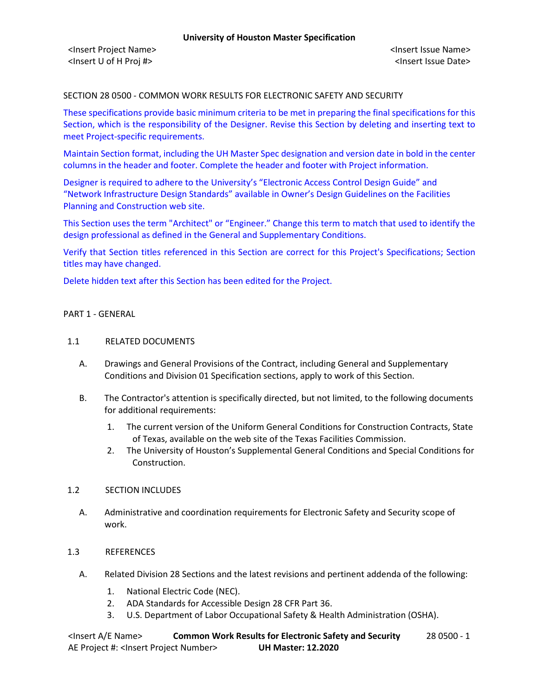### SECTION 28 0500 - COMMON WORK RESULTS FOR ELECTRONIC SAFETY AND SECURITY

These specifications provide basic minimum criteria to be met in preparing the final specifications for this Section, which is the responsibility of the Designer. Revise this Section by deleting and inserting text to meet Project-specific requirements.

Maintain Section format, including the UH Master Spec designation and version date in bold in the center columns in the header and footer. Complete the header and footer with Project information.

Designer is required to adhere to the University's "Electronic Access Control Design Guide" and "Network Infrastructure Design Standards" available in Owner's Design Guidelines on the Facilities Planning and Construction web site.

This Section uses the term "Architect" or "Engineer." Change this term to match that used to identify the design professional as defined in the General and Supplementary Conditions.

Verify that Section titles referenced in this Section are correct for this Project's Specifications; Section titles may have changed.

Delete hidden text after this Section has been edited for the Project.

### PART 1 - GENERAL

#### 1.1 RELATED DOCUMENTS

- A. Drawings and General Provisions of the Contract, including General and Supplementary Conditions and Division 01 Specification sections, apply to work of this Section.
- B. The Contractor's attention is specifically directed, but not limited, to the following documents for additional requirements:
	- 1. The current version of the Uniform General Conditions for Construction Contracts, State of Texas, available on the web site of the Texas Facilities Commission.
	- 2. The University of Houston's Supplemental General Conditions and Special Conditions for Construction.

#### 1.2 SECTION INCLUDES

A. Administrative and coordination requirements for Electronic Safety and Security scope of work.

### 1.3 REFERENCES

- A. Related Division 28 Sections and the latest revisions and pertinent addenda of the following:
	- 1. National Electric Code (NEC).
	- 2. ADA Standards for Accessible Design 28 CFR Part 36.
	- 3. U.S. Department of Labor Occupational Safety & Health Administration (OSHA).

<Insert A/E Name> **Common Work Results for Electronic Safety and Security** 28 0500 - 1 AE Project #: <Insert Project Number> **UH Master: 12.2020**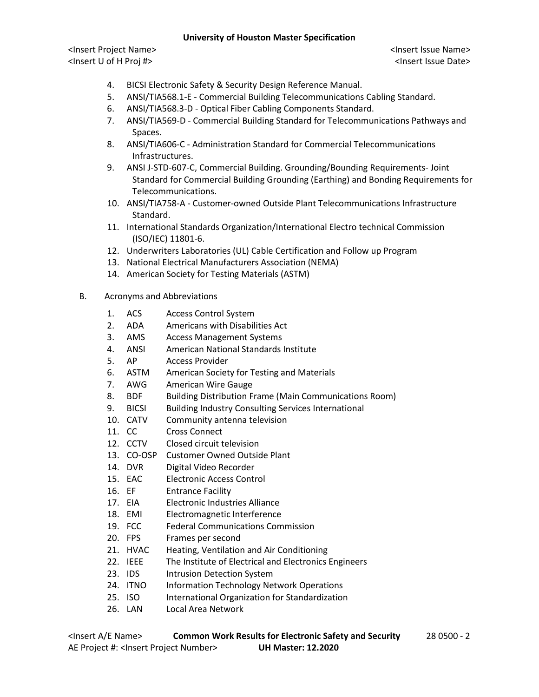<Insert Project Name> <Insert Issue Name> <Insert U of H Proj #> <Insert Issue Date>

- 4. BICSI Electronic Safety & Security Design Reference Manual.
- 5. ANSI/TIA568.1-E Commercial Building Telecommunications Cabling Standard.
- 6. ANSI/TIA568.3-D Optical Fiber Cabling Components Standard.
- 7. ANSI/TIA569-D Commercial Building Standard for Telecommunications Pathways and Spaces.
- 8. ANSI/TIA606-C Administration Standard for Commercial Telecommunications Infrastructures.
- 9. ANSI J-STD-607-C, Commercial Building. Grounding/Bounding Requirements- Joint Standard for Commercial Building Grounding (Earthing) and Bonding Requirements for Telecommunications.
- 10. ANSI/TIA758-A Customer-owned Outside Plant Telecommunications Infrastructure Standard.
- 11. International Standards Organization/International Electro technical Commission (ISO/IEC) 11801-6.
- 12. Underwriters Laboratories (UL) Cable Certification and Follow up Program
- 13. National Electrical Manufacturers Association (NEMA)
- 14. American Society for Testing Materials (ASTM)
- B. Acronyms and Abbreviations
	- 1. ACS Access Control System
	- 2. ADA Americans with Disabilities Act
	- 3. AMS Access Management Systems
	- 4. ANSI American National Standards Institute
	- 5. AP Access Provider
	- 6. ASTM American Society for Testing and Materials
	- 7. AWG American Wire Gauge
	- 8. BDF Building Distribution Frame (Main Communications Room)
	- 9. BICSI Building Industry Consulting Services International
	- 10. CATV Community antenna television
	- 11. CC Cross Connect
	- 12. CCTV Closed circuit television
	- 13. CO-OSP Customer Owned Outside Plant
	- 14. DVR Digital Video Recorder
	- 15. EAC Electronic Access Control
	- 16. EF Entrance Facility
	- 17. EIA Electronic Industries Alliance
	- 18. EMI Electromagnetic Interference
	- 19. FCC Federal Communications Commission
	- 20. FPS Frames per second
	- 21. HVAC Heating, Ventilation and Air Conditioning
	- 22. IEEE The Institute of Electrical and Electronics Engineers
	- 23. IDS Intrusion Detection System
	- 24. ITNO Information Technology Network Operations
	- 25. ISO International Organization for Standardization
	- 26. LAN Local Area Network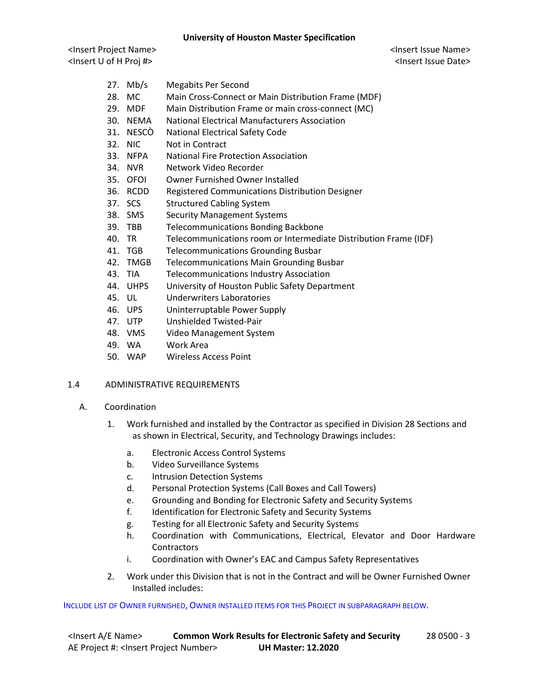<Insert Project Name> <Insert Issue Name> <Insert U of H Proj #> <Insert Issue Date>

- 27. Mb/s Megabits Per Second
- 28. MC Main Cross-Connect or Main Distribution Frame (MDF)
- 29. MDF Main Distribution Frame or main cross-connect (MC)
- 30. NEMA National Electrical Manufacturers Association
- 31. NESCÒ National Electrical Safety Code
- 32. NIC Not in Contract
- 33. NFPA National Fire Protection Association
- 34. NVR Network Video Recorder
- 35. OFOI Owner Furnished Owner Installed
- 36. RCDD Registered Communications Distribution Designer
- 37. SCS Structured Cabling System
- 38. SMS Security Management Systems
- 39. TBB Telecommunications Bonding Backbone
- 40. TR Telecommunications room or Intermediate Distribution Frame (IDF)
- 41. TGB Telecommunications Grounding Busbar
- 42. TMGB Telecommunications Main Grounding Busbar
- 43. TIA Telecommunications Industry Association
- 44. UHPS University of Houston Public Safety Department
- 45. UL Underwriters Laboratories
- 46. UPS Uninterruptable Power Supply
- 47. UTP Unshielded Twisted-Pair
- 48. VMS Video Management System
- 49. WA Work Area
- 50. WAP Wireless Access Point

## 1.4 ADMINISTRATIVE REQUIREMENTS

- A. Coordination
	- 1. Work furnished and installed by the Contractor as specified in Division 28 Sections and as shown in Electrical, Security, and Technology Drawings includes:
		- a. Electronic Access Control Systems
		- b. Video Surveillance Systems
		- c. Intrusion Detection Systems
		- d. Personal Protection Systems (Call Boxes and Call Towers)
		- e. Grounding and Bonding for Electronic Safety and Security Systems
		- f. Identification for Electronic Safety and Security Systems
		- g. Testing for all Electronic Safety and Security Systems
		- h. Coordination with Communications, Electrical, Elevator and Door Hardware **Contractors**
		- i. Coordination with Owner's EAC and Campus Safety Representatives
	- 2. Work under this Division that is not in the Contract and will be Owner Furnished Owner Installed includes:

## INCLUDE LIST OF OWNER FURNISHED, OWNER INSTALLED ITEMS FOR THIS PROJECT IN SUBPARAGRAPH BELOW.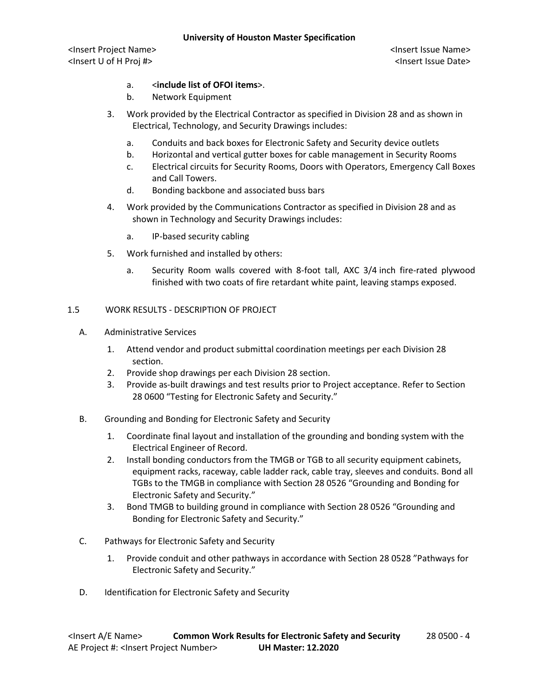<Insert Project Name> <Insert Issue Name> <Insert U of H Proj #> <Insert Issue Date>

# a. <**include list of OFOI items**>.

- b. Network Equipment
- 3. Work provided by the Electrical Contractor as specified in Division 28 and as shown in Electrical, Technology, and Security Drawings includes:
	- a. Conduits and back boxes for Electronic Safety and Security device outlets
	- b. Horizontal and vertical gutter boxes for cable management in Security Rooms
	- c. Electrical circuits for Security Rooms, Doors with Operators, Emergency Call Boxes and Call Towers.
	- d. Bonding backbone and associated buss bars
- 4. Work provided by the Communications Contractor as specified in Division 28 and as shown in Technology and Security Drawings includes:
	- a. IP-based security cabling
- 5. Work furnished and installed by others:
	- a. Security Room walls covered with 8-foot tall, AXC 3/4 inch fire-rated plywood finished with two coats of fire retardant white paint, leaving stamps exposed.

## 1.5 WORK RESULTS - DESCRIPTION OF PROJECT

- A. Administrative Services
	- 1. Attend vendor and product submittal coordination meetings per each Division 28 section.
	- 2. Provide shop drawings per each Division 28 section.
	- 3. Provide as-built drawings and test results prior to Project acceptance. Refer to Section 28 0600 "Testing for Electronic Safety and Security."
- B. Grounding and Bonding for Electronic Safety and Security
	- 1. Coordinate final layout and installation of the grounding and bonding system with the Electrical Engineer of Record.
	- 2. Install bonding conductors from the TMGB or TGB to all security equipment cabinets, equipment racks, raceway, cable ladder rack, cable tray, sleeves and conduits. Bond all TGBs to the TMGB in compliance with Section 28 0526 "Grounding and Bonding for Electronic Safety and Security."
	- 3. Bond TMGB to building ground in compliance with Section 28 0526 "Grounding and Bonding for Electronic Safety and Security."
- C. Pathways for Electronic Safety and Security
	- 1. Provide conduit and other pathways in accordance with Section 28 0528 "Pathways for Electronic Safety and Security."
- D. Identification for Electronic Safety and Security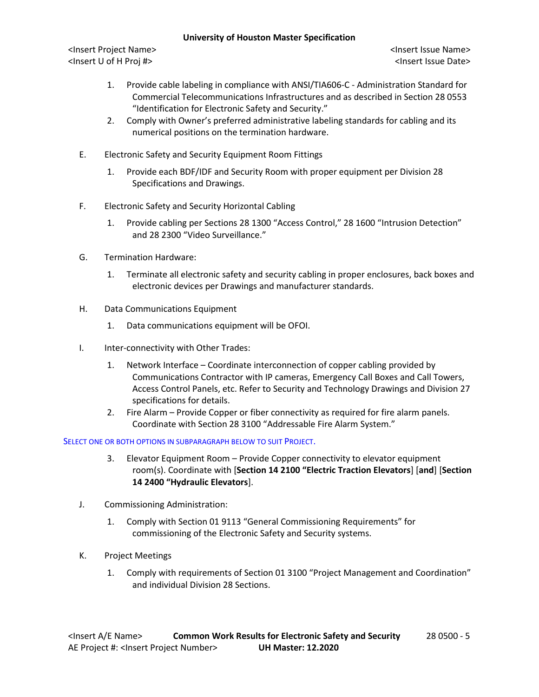<Insert Project Name> <Insert Issue Name> <Insert U of H Proj #> <Insert Issue Date>

- 1. Provide cable labeling in compliance with ANSI/TIA606-C Administration Standard for Commercial Telecommunications Infrastructures and as described in Section 28 0553 "Identification for Electronic Safety and Security."
- 2. Comply with Owner's preferred administrative labeling standards for cabling and its numerical positions on the termination hardware.
- E. Electronic Safety and Security Equipment Room Fittings
	- 1. Provide each BDF/IDF and Security Room with proper equipment per Division 28 Specifications and Drawings.
- F. Electronic Safety and Security Horizontal Cabling
	- 1. Provide cabling per Sections 28 1300 "Access Control," 28 1600 "Intrusion Detection" and 28 2300 "Video Surveillance."
- G. Termination Hardware:
	- 1. Terminate all electronic safety and security cabling in proper enclosures, back boxes and electronic devices per Drawings and manufacturer standards.
- H. Data Communications Equipment
	- 1. Data communications equipment will be OFOI.
- I. Inter-connectivity with Other Trades:
	- 1. Network Interface Coordinate interconnection of copper cabling provided by Communications Contractor with IP cameras, Emergency Call Boxes and Call Towers, Access Control Panels, etc. Refer to Security and Technology Drawings and Division 27 specifications for details.
	- 2. Fire Alarm Provide Copper or fiber connectivity as required for fire alarm panels. Coordinate with Section 28 3100 "Addressable Fire Alarm System."

#### SELECT ONE OR BOTH OPTIONS IN SUBPARAGRAPH BELOW TO SUIT PROJECT.

- 3. Elevator Equipment Room Provide Copper connectivity to elevator equipment room(s). Coordinate with [**Section 14 2100 "Electric Traction Elevators**] [**and**] [**Section 14 2400 "Hydraulic Elevators**].
- J. Commissioning Administration:
	- 1. Comply with Section 01 9113 "General Commissioning Requirements" for commissioning of the Electronic Safety and Security systems.
- K. Project Meetings
	- 1. Comply with requirements of Section 01 3100 "Project Management and Coordination" and individual Division 28 Sections.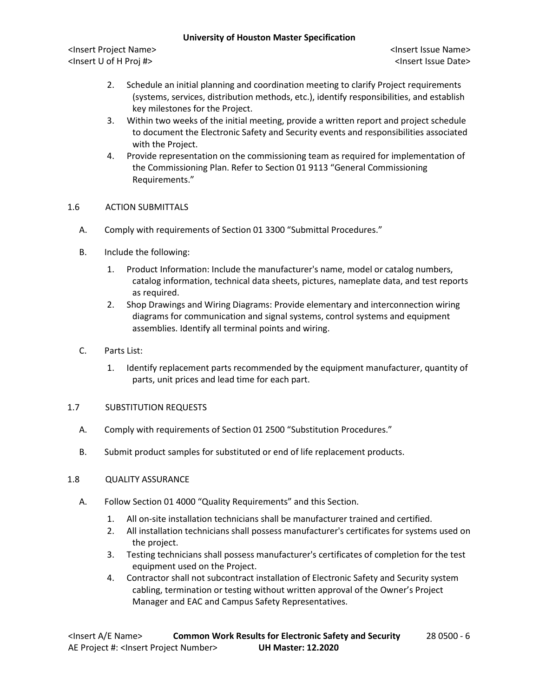<Insert Project Name> <Insert Issue Name> <Insert U of H Proj #> <Insert Issue Date>

- 2. Schedule an initial planning and coordination meeting to clarify Project requirements (systems, services, distribution methods, etc.), identify responsibilities, and establish key milestones for the Project.
- 3. Within two weeks of the initial meeting, provide a written report and project schedule to document the Electronic Safety and Security events and responsibilities associated with the Project.
- 4. Provide representation on the commissioning team as required for implementation of the Commissioning Plan. Refer to Section 01 9113 "General Commissioning Requirements."

## 1.6 ACTION SUBMITTALS

- A. Comply with requirements of Section 01 3300 "Submittal Procedures."
- B. Include the following:
	- 1. Product Information: Include the manufacturer's name, model or catalog numbers, catalog information, technical data sheets, pictures, nameplate data, and test reports as required.
	- 2. Shop Drawings and Wiring Diagrams: Provide elementary and interconnection wiring diagrams for communication and signal systems, control systems and equipment assemblies. Identify all terminal points and wiring.
- C. Parts List:
	- 1. Identify replacement parts recommended by the equipment manufacturer, quantity of parts, unit prices and lead time for each part.

## 1.7 SUBSTITUTION REQUESTS

- A. Comply with requirements of Section 01 2500 "Substitution Procedures."
- B. Submit product samples for substituted or end of life replacement products.

## 1.8 QUALITY ASSURANCE

- A. Follow Section 01 4000 "Quality Requirements" and this Section.
	- 1. All on-site installation technicians shall be manufacturer trained and certified.
	- 2. All installation technicians shall possess manufacturer's certificates for systems used on the project.
	- 3. Testing technicians shall possess manufacturer's certificates of completion for the test equipment used on the Project.
	- 4. Contractor shall not subcontract installation of Electronic Safety and Security system cabling, termination or testing without written approval of the Owner's Project Manager and EAC and Campus Safety Representatives.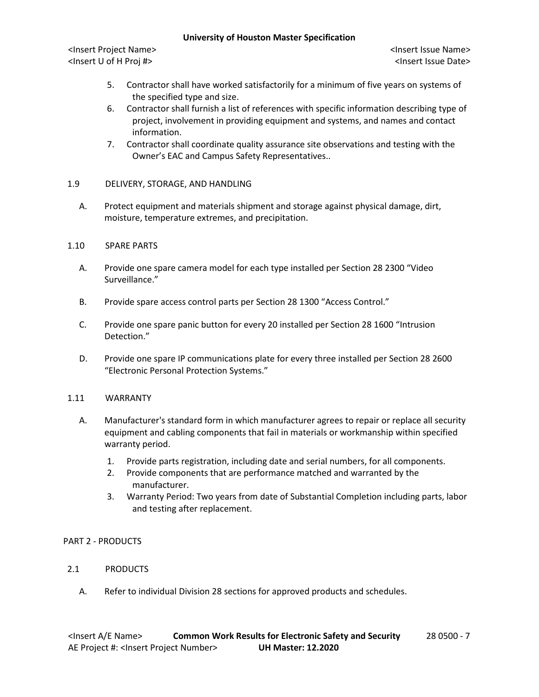<Insert Project Name> <Insert Issue Name> <Insert U of H Proj #> <Insert Issue Date>

- 5. Contractor shall have worked satisfactorily for a minimum of five years on systems of the specified type and size.
- 6. Contractor shall furnish a list of references with specific information describing type of project, involvement in providing equipment and systems, and names and contact information.
- 7. Contractor shall coordinate quality assurance site observations and testing with the Owner's EAC and Campus Safety Representatives..

# 1.9 DELIVERY, STORAGE, AND HANDLING

A. Protect equipment and materials shipment and storage against physical damage, dirt, moisture, temperature extremes, and precipitation.

## 1.10 SPARE PARTS

- A. Provide one spare camera model for each type installed per Section 28 2300 "Video Surveillance."
- B. Provide spare access control parts per Section 28 1300 "Access Control."
- C. Provide one spare panic button for every 20 installed per Section 28 1600 "Intrusion Detection."
- D. Provide one spare IP communications plate for every three installed per Section 28 2600 "Electronic Personal Protection Systems."

## 1.11 WARRANTY

- A. Manufacturer's standard form in which manufacturer agrees to repair or replace all security equipment and cabling components that fail in materials or workmanship within specified warranty period.
	- 1. Provide parts registration, including date and serial numbers, for all components.
	- 2. Provide components that are performance matched and warranted by the manufacturer.
	- 3. Warranty Period: Two years from date of Substantial Completion including parts, labor and testing after replacement.

## PART 2 - PRODUCTS

- 2.1 PRODUCTS
	- A. Refer to individual Division 28 sections for approved products and schedules.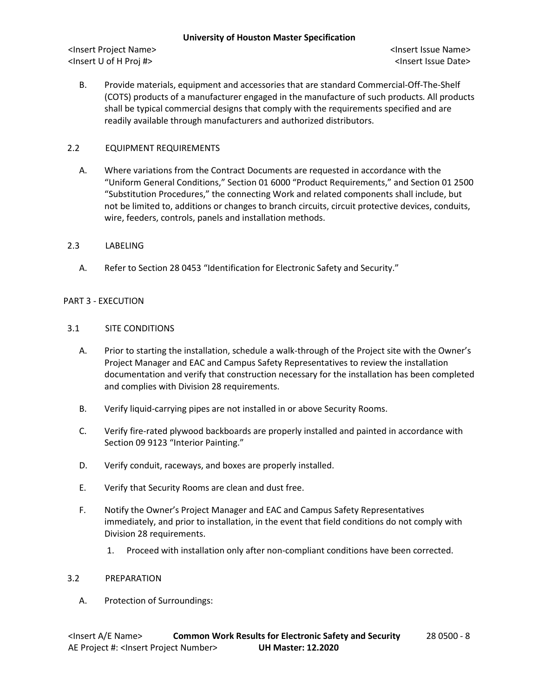<Insert Project Name> <Insert Issue Name> <Insert U of H Proj #> <Insert Issue Date>

B. Provide materials, equipment and accessories that are standard Commercial-Off-The-Shelf (COTS) products of a manufacturer engaged in the manufacture of such products. All products shall be typical commercial designs that comply with the requirements specified and are readily available through manufacturers and authorized distributors.

# 2.2 EQUIPMENT REQUIREMENTS

A. Where variations from the Contract Documents are requested in accordance with the "Uniform General Conditions," Section 01 6000 "Product Requirements," and Section 01 2500 "Substitution Procedures," the connecting Work and related components shall include, but not be limited to, additions or changes to branch circuits, circuit protective devices, conduits, wire, feeders, controls, panels and installation methods.

## 2.3 LABELING

A. Refer to Section 28 0453 "Identification for Electronic Safety and Security."

### PART 3 - EXECUTION

### 3.1 SITE CONDITIONS

- A. Prior to starting the installation, schedule a walk-through of the Project site with the Owner's Project Manager and EAC and Campus Safety Representatives to review the installation documentation and verify that construction necessary for the installation has been completed and complies with Division 28 requirements.
- B. Verify liquid-carrying pipes are not installed in or above Security Rooms.
- C. Verify fire-rated plywood backboards are properly installed and painted in accordance with Section 09 9123 "Interior Painting."
- D. Verify conduit, raceways, and boxes are properly installed.
- E. Verify that Security Rooms are clean and dust free.
- F. Notify the Owner's Project Manager and EAC and Campus Safety Representatives immediately, and prior to installation, in the event that field conditions do not comply with Division 28 requirements.
	- 1. Proceed with installation only after non-compliant conditions have been corrected.

#### 3.2 PREPARATION

A. Protection of Surroundings: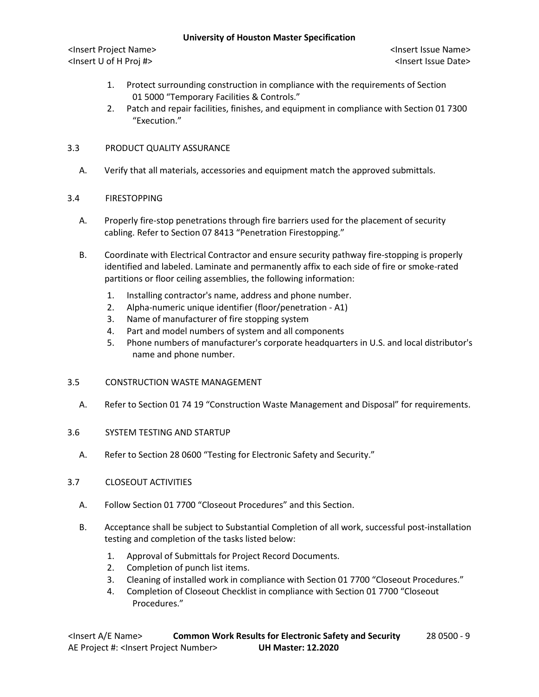<Insert Project Name> <Insert Issue Name> <Insert U of H Proj #> <Insert Issue Date>

- 1. Protect surrounding construction in compliance with the requirements of Section 01 5000 "Temporary Facilities & Controls."
- 2. Patch and repair facilities, finishes, and equipment in compliance with Section 01 7300 "Execution."

## 3.3 PRODUCT QUALITY ASSURANCE

A. Verify that all materials, accessories and equipment match the approved submittals.

# 3.4 FIRESTOPPING

- A. Properly fire-stop penetrations through fire barriers used for the placement of security cabling. Refer to Section 07 8413 "Penetration Firestopping."
- B. Coordinate with Electrical Contractor and ensure security pathway fire-stopping is properly identified and labeled. Laminate and permanently affix to each side of fire or smoke-rated partitions or floor ceiling assemblies, the following information:
	- 1. Installing contractor's name, address and phone number.
	- 2. Alpha-numeric unique identifier (floor/penetration A1)
	- 3. Name of manufacturer of fire stopping system
	- 4. Part and model numbers of system and all components
	- 5. Phone numbers of manufacturer's corporate headquarters in U.S. and local distributor's name and phone number.

# 3.5 CONSTRUCTION WASTE MANAGEMENT

A. Refer to Section 01 74 19 "Construction Waste Management and Disposal" for requirements.

## 3.6 SYSTEM TESTING AND STARTUP

A. Refer to Section 28 0600 "Testing for Electronic Safety and Security."

## 3.7 CLOSEOUT ACTIVITIES

- A. Follow Section 01 7700 "Closeout Procedures" and this Section.
- B. Acceptance shall be subject to Substantial Completion of all work, successful post-installation testing and completion of the tasks listed below:
	- 1. Approval of Submittals for Project Record Documents.
	- 2. Completion of punch list items.
	- 3. Cleaning of installed work in compliance with Section 01 7700 "Closeout Procedures."
	- 4. Completion of Closeout Checklist in compliance with Section 01 7700 "Closeout Procedures."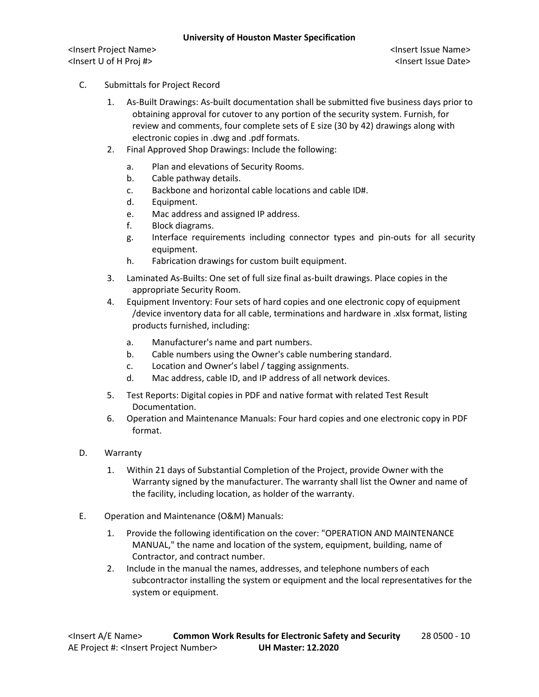<Insert Project Name> <Insert Issue Name> <Insert U of H Proj #> <Insert Issue Date>

- C. Submittals for Project Record
	- 1. As-Built Drawings: As-built documentation shall be submitted five business days prior to obtaining approval for cutover to any portion of the security system. Furnish, for review and comments, four complete sets of E size (30 by 42) drawings along with electronic copies in .dwg and .pdf formats.
	- 2. Final Approved Shop Drawings: Include the following:
		- a. Plan and elevations of Security Rooms.
		- b. Cable pathway details.
		- c. Backbone and horizontal cable locations and cable ID#.
		- d. Equipment.
		- e. Mac address and assigned IP address.
		- f. Block diagrams.
		- g. Interface requirements including connector types and pin-outs for all security equipment.
		- h. Fabrication drawings for custom built equipment.
	- 3. Laminated As-Builts: One set of full size final as-built drawings. Place copies in the appropriate Security Room.
	- 4. Equipment Inventory: Four sets of hard copies and one electronic copy of equipment /device inventory data for all cable, terminations and hardware in .xlsx format, listing products furnished, including:
		- a. Manufacturer's name and part numbers.
		- b. Cable numbers using the Owner's cable numbering standard.
		- c. Location and Owner's label / tagging assignments.
		- d. Mac address, cable ID, and IP address of all network devices.
	- 5. Test Reports: Digital copies in PDF and native format with related Test Result Documentation.
	- 6. Operation and Maintenance Manuals: Four hard copies and one electronic copy in PDF format.
- D. Warranty
	- 1. Within 21 days of Substantial Completion of the Project, provide Owner with the Warranty signed by the manufacturer. The warranty shall list the Owner and name of the facility, including location, as holder of the warranty.
- E. Operation and Maintenance (O&M) Manuals:
	- 1. Provide the following identification on the cover: "OPERATION AND MAINTENANCE MANUAL," the name and location of the system, equipment, building, name of Contractor, and contract number.
	- 2. Include in the manual the names, addresses, and telephone numbers of each subcontractor installing the system or equipment and the local representatives for the system or equipment.